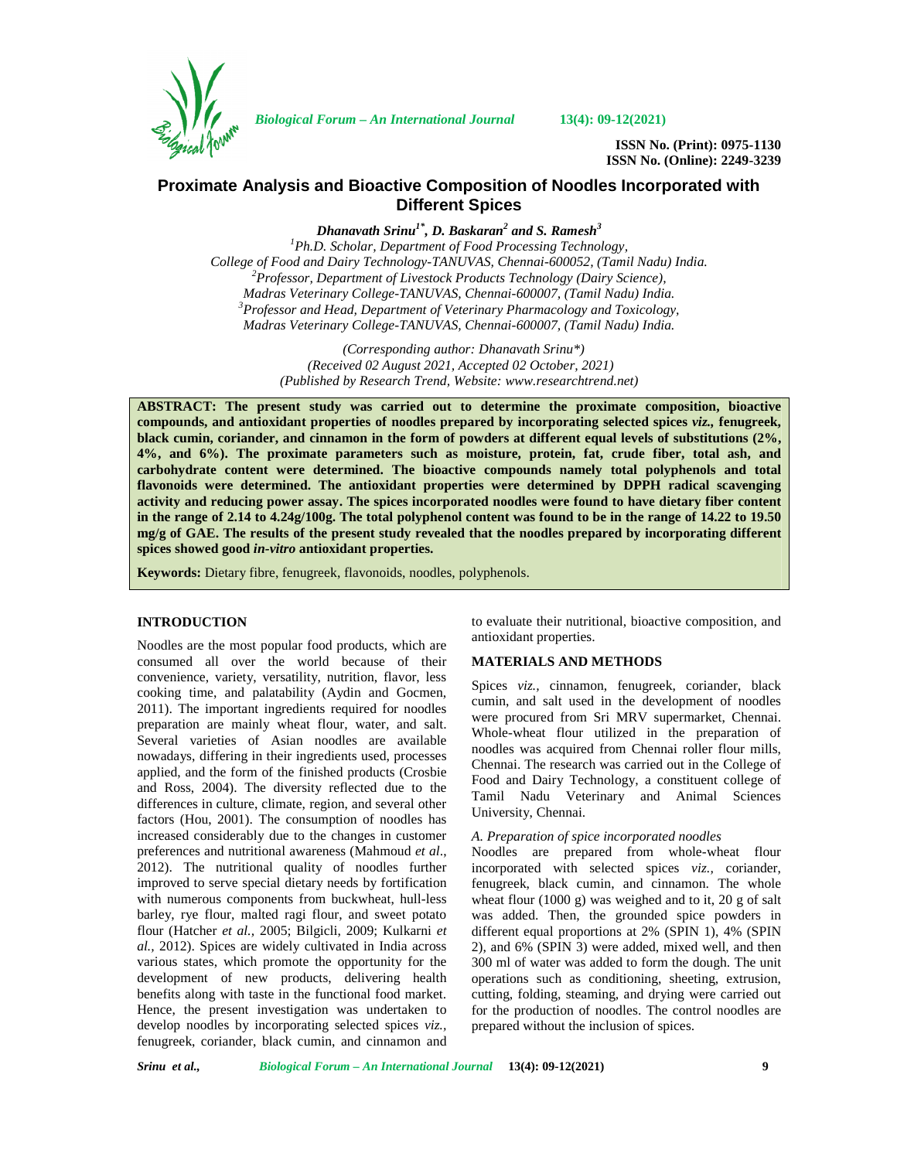

*Biological Forum – An International Journal* **13(4): 09-12(2021)**

**ISSN No. (Print): 0975-1130 ISSN No. (Online): 2249-3239**

# **Proximate Analysis and Bioactive Composition of Noodles Incorporated with Different Spices**

*Dhanavath Srinu1\*, D. Baskaran<sup>2</sup> and S. Ramesh<sup>3</sup>*

*<sup>1</sup>Ph.D. Scholar, Department of Food Processing Technology, College of Food and Dairy Technology-TANUVAS, Chennai-600052, (Tamil Nadu) India. <sup>2</sup>Professor, Department of Livestock Products Technology (Dairy Science), Madras Veterinary College-TANUVAS, Chennai-600007, (Tamil Nadu) India. <sup>3</sup>Professor and Head, Department of Veterinary Pharmacology and Toxicology, Madras Veterinary College-TANUVAS, Chennai-600007, (Tamil Nadu) India.*

> *(Corresponding author: Dhanavath Srinu\*) (Received 02 August 2021, Accepted 02 October, 2021) (Published by Research Trend, Website: [www.researchtrend.net\)](www.researchtrend.net)*

**ABSTRACT: The present study was carried out to determine the proximate composition, bioactive compounds, and antioxidant properties of noodles prepared by incorporating selected spices** *viz.,* **fenugreek, black cumin, coriander, and cinnamon in the form of powders at different equal levels of substitutions (2%, 4%, and 6%). The proximate parameters such as moisture, protein, fat, crude fiber, total ash, and carbohydrate content were determined. The bioactive compounds namely total polyphenols and total flavonoids were determined. The antioxidant properties were determined by DPPH radical scavenging activity and reducing power assay. The spices incorporated noodles were found to have dietary fiber content in the range of 2.14 to 4.24g/100g. The total polyphenol content was found to be in the range of 14.22 to 19.50 mg/g of GAE. The results of the present study revealed that the noodles prepared by incorporating different spices showed good** *in-vitro* **antioxidant properties.**

**Keywords:** Dietary fibre, fenugreek, flavonoids, noodles, polyphenols.

#### **INTRODUCTION**

Noodles are the most popular food products, which are consumed all over the world because of their convenience, variety, versatility, nutrition, flavor, less cooking time, and palatability (Aydin and Gocmen, 2011). The important ingredients required for noodles preparation are mainly wheat flour, water, and salt. Several varieties of Asian noodles are available nowadays, differing in their ingredients used, processes applied, and the form of the finished products (Crosbie and Ross, 2004). The diversity reflected due to the differences in culture, climate, region, and several other factors (Hou, 2001). The consumption of noodles has increased considerably due to the changes in customer preferences and nutritional awareness (Mahmoud *et al*., 2012). The nutritional quality of noodles further improved to serve special dietary needs by fortification with numerous components from buckwheat, hull-less barley, rye flour, malted ragi flour, and sweet potato flour (Hatcher *et al.,* 2005; Bilgicli, 2009; Kulkarni *et al.,* 2012). Spices are widely cultivated in India across various states, which promote the opportunity for the development of new products, delivering health benefits along with taste in the functional food market. Hence, the present investigation was undertaken to develop noodles by incorporating selected spices *viz.,* fenugreek, coriander, black cumin, and cinnamon and to evaluate their nutritional, bioactive composition, and antioxidant properties.

#### **MATERIALS AND METHODS**

Spices *viz.,* cinnamon, fenugreek, coriander, black cumin, and salt used in the development of noodles were procured from Sri MRV supermarket, Chennai. Whole-wheat flour utilized in the preparation of noodles was acquired from Chennai roller flour mills, Chennai. The research was carried out in the College of Food and Dairy Technology, a constituent college of Tamil Nadu Veterinary and Animal Sciences University, Chennai.

## *A. Preparation of spice incorporated noodles*

Noodles are prepared from whole-wheat flour incorporated with selected spices *viz.,* coriander, fenugreek, black cumin, and cinnamon. The whole wheat flour (1000 g) was weighed and to it, 20 g of salt was added. Then, the grounded spice powders in different equal proportions at 2% (SPIN 1), 4% (SPIN 2), and 6% (SPIN 3) were added, mixed well, and then 300 ml of water was added to form the dough. The unit operations such as conditioning, sheeting, extrusion, cutting, folding, steaming, and drying were carried out for the production of noodles. The control noodles are prepared without the inclusion of spices.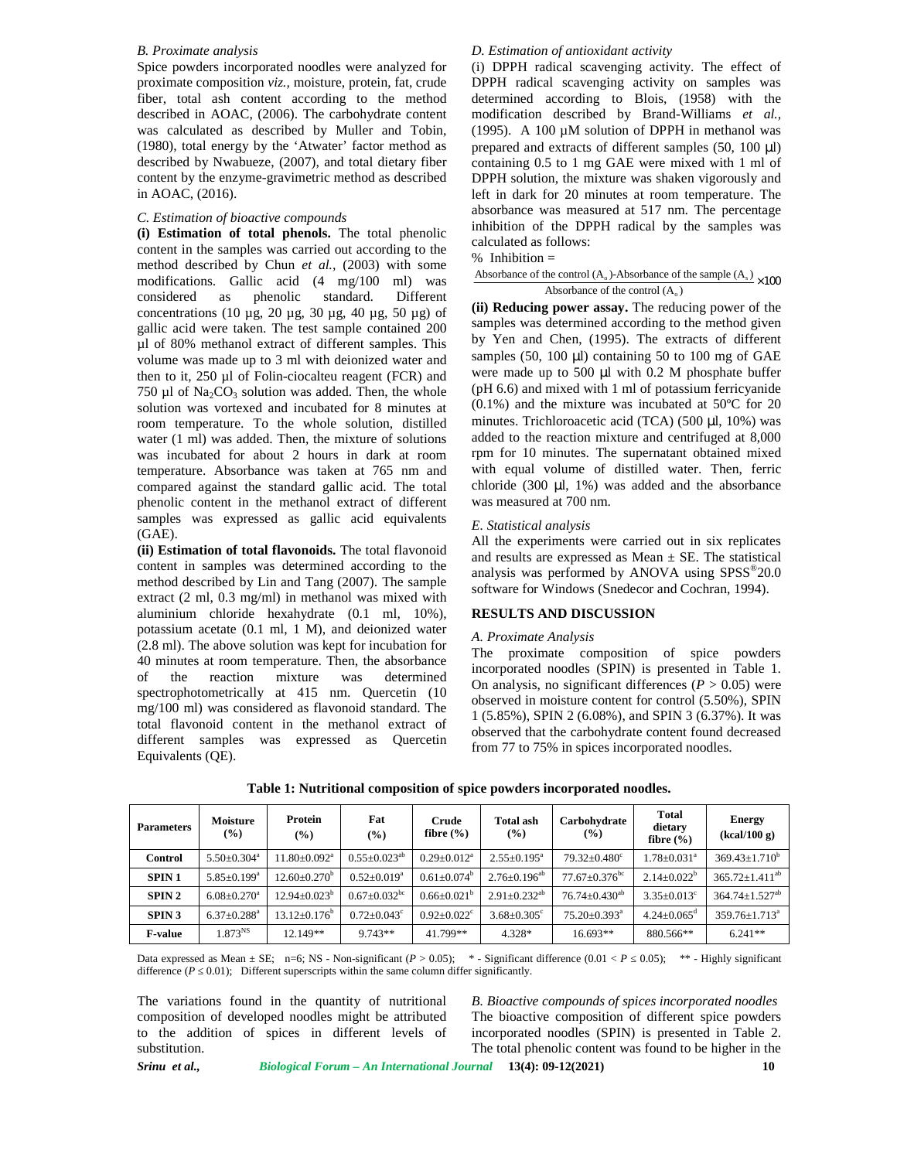## *B. Proximate analysis*

Spice powders incorporated noodles were analyzed for proximate composition *viz.,* moisture, protein, fat, crude fiber, total ash content according to the method described in AOAC, (2006). The carbohydrate content was calculated as described by Muller and Tobin, (1980), total energy by the 'Atwater' factor method as described by Nwabueze, (2007), and total dietary fiber content by the enzyme-gravimetric method as described in AOAC, (2016).

## *C. Estimation of bioactive compounds*

**(i) Estimation of total phenols.** The total phenolic content in the samples was carried out according to the calculated as 10<br>we there is the class of the contract of  $\frac{1}{2}$  (2002) with sexual way method described by Chun *et al.*, (2003) with some<br>  $\frac{\text{80}}{\text{80}}$  method (A<sub>o</sub>)-Absorbance of the sample (A<sub>s</sub>) × 100 modifications. Gallic acid (4 mg/100 ml) was considered as phenolic standard. Different concentrations (10  $\mu$ g, 20  $\mu$ g, 30  $\mu$ g, 40  $\mu$ g, 50  $\mu$ g) of gallic acid were taken. The test sample contained 200 µl of 80% methanol extract of different samples. This volume was made up to 3 ml with deionized water and then to it, 250 µl of Folin-ciocalteu reagent (FCR) and 750  $\mu$ l of Na<sub>2</sub>CO<sub>3</sub> solution was added. Then, the whole solution was vortexed and incubated for 8 minutes at room temperature. To the whole solution, distilled water (1 ml) was added. Then, the mixture of solutions was incubated for about 2 hours in dark at room temperature. Absorbance was taken at 765 nm and compared against the standard gallic acid. The total phenolic content in the methanol extract of different samples was expressed as gallic acid equivalents (GAE).

**(ii) Estimation of total flavonoids.** The total flavonoid content in samples was determined according to the method described by Lin and Tang (2007). The sample extract (2 ml, 0.3 mg/ml) in methanol was mixed with aluminium chloride hexahydrate (0.1 ml, 10%), potassium acetate (0.1 ml, 1 M), and deionized water (2.8 ml). The above solution was kept for incubation for 40 minutes at room temperature. Then, the absorbance of the reaction mixture was determined spectrophotometrically at 415 nm. Quercetin (10 mg/100 ml) was considered as flavonoid standard. The total flavonoid content in the methanol extract of different samples was expressed as Quercetin Equivalents (QE).

## *D. Estimation of antioxidant activity*

(i) DPPH radical scavenging activity. The effect of DPPH radical scavenging activity on samples was determined according to Blois, (1958) with the modification described by Brand-Williams *et al.,* (1995). A 100  $\mu$ M solution of DPPH in methanol was prepared and extracts of different samples  $(50, 100 \mu l)$ containing 0.5 to 1 mg GAE were mixed with 1 ml of DPPH solution, the mixture was shaken vigorously and left in dark for 20 minutes at room temperature. The absorbance was measured at 517 nm. The percentage inhibition of the DPPH radical by the samples was calculated as follows: *D. Estimation of antioxidant activity*<br>(i) DPPH radical scavenging activity. The effect of<br>DPPH radical scavenging activity on samples was<br>determined according to Blois, (1958) with the<br>modification described by Brand-Wi a *of antioxidant activity*<br>dical scavenging activity. The effect of<br>al scavenging activity. The effect of<br>al scavenging to Blois, (1958) with the<br>described by Brand-Williams *et al.*,<br> $90 \mu$ M solution of DPPH in methanol

 $\times100$ 

**(ii) Reducing power assay.** The reducing power of the samples was determined according to the method given by Yen and Chen, (1995). The extracts of different samples  $(50, 100 \mu l)$  containing 50 to 100 mg of GAE were made up to 500 µl with 0.2 M phosphate buffer (pH 6.6) and mixed with 1 ml of potassium ferricyanide (0.1%) and the mixture was incubated at 50ºC for 20 minutes. Trichloroacetic acid (TCA) (500 µl, 10%) was added to the reaction mixture and centrifuged at 8,000 rpm for 10 minutes. The supernatant obtained mixed with equal volume of distilled water. Then, ferric chloride  $(300 \mu l, 1\%)$  was added and the absorbance was measured at 700 nm.

#### *E. Statistical analysis*

All the experiments were carried out in six replicates and results are expressed as Mean  $\pm$  SE. The statistical analysis was performed by ANOVA using  $SPSS^{\circledast}20.0$ software for Windows (Snedecor and Cochran, 1994).

## **RESULTS AND DISCUSSION**

#### *A. Proximate Analysis*

The proximate composition of spice powders incorporated noodles (SPIN) is presented in Table 1. On analysis, no significant differences  $(P > 0.05)$  were observed in moisture content for control (5.50%), SPIN 1 (5.85%), SPIN 2 (6.08%), and SPIN 3 (6.37%). It was observed that the carbohydrate content found decreased from 77 to 75% in spices incorporated noodles.

| <b>Parameters</b> | <b>Moisture</b><br>$(\%)$     | Protein<br>$($ %)              | Fat<br>$\frac{6}{2}$           | Crude<br>fibre $(\% )$      | Total ash<br>(%)               | Carbohydrate<br>$($ %)          | <b>Total</b><br>dietary<br>fibre $(\% )$ | <b>Energy</b><br>(kcal/100 g)    |
|-------------------|-------------------------------|--------------------------------|--------------------------------|-----------------------------|--------------------------------|---------------------------------|------------------------------------------|----------------------------------|
| <b>Control</b>    | $5.50 \pm 0.304^a$            | $11.80 \pm 0.092$ <sup>a</sup> | $0.55+0.023^{ab}$              | $0.29 \pm 0.012^a$          | $2.55 \pm 0.195^{\text{a}}$    | $79.32 \pm 0.480$ °             | $1.78 \pm 0.031$ <sup>a</sup>            | $369.43 \pm 1.710^b$             |
| SPIN <sub>1</sub> | $5.85 \pm 0.199^a$            | $12.60 \pm 0.270^{\circ}$      | $0.52 \pm 0.019^a$             | $0.61 \pm 0.074^{\circ}$    | $2.76 \pm 0.196$ <sup>ab</sup> | $77.67 \pm 0.376$ <sup>bc</sup> | $2.14 \pm 0.022^b$                       | $365.72 + 1.411^{ab}$            |
| SPIN <sub>2</sub> | $6.08 \pm 0.270$ <sup>a</sup> | $12.94 \pm 0.023^{\circ}$      | $0.67 \pm 0.032$ <sup>bc</sup> | $0.66 \pm 0.021^{\circ}$    | $2.91 \pm 0.232^{ab}$          | $76.74 \pm 0.430^{ab}$          | $3.35 \pm 0.013$ <sup>c</sup>            | $364.74 \pm 1.527$ <sup>ab</sup> |
| <b>SPIN 3</b>     | $6.37+0.288^a$                | $13.12 \pm 0.176^{\circ}$      | $0.72 + 0.043^{\circ}$         | $0.92 + 0.022$ <sup>c</sup> | $3.68 \pm 0.305$ <sup>c</sup>  | $75.20 + 0.393$ <sup>a</sup>    | $4.24 + 0.065^{\circ}$                   | $359.76 \pm 1.713^a$             |
| <b>F-value</b>    | $1.873^{NS}$                  | 12.149**                       | $9.743**$                      | 41.799**                    | 4.328*                         | $16.693**$                      | 880.566**                                | $6.241**$                        |

**Table 1: Nutritional composition of spice powders incorporated noodles.**

Data expressed as Mean  $\pm$  SE; n=6; NS - Non-significant  $(P > 0.05)$ ; \* - Significant difference  $(0.01 < P \quad 0.05)$ ; \*\* - Highly significant difference  $(P \t 0.01)$ ; Different superscripts within the same column differ significantly.

The variations found in the quantity of nutritional composition of developed noodles might be attributed to the addition of spices in different levels of substitution.

*B. Bioactive compounds of spices incorporated noodles* The bioactive composition of different spice powders incorporated noodles (SPIN) is presented in Table 2. The total phenolic content was found to be higher in the

*Srinu et al., Biological Forum – An International Journal* **13(4): 09-12(2021) 10**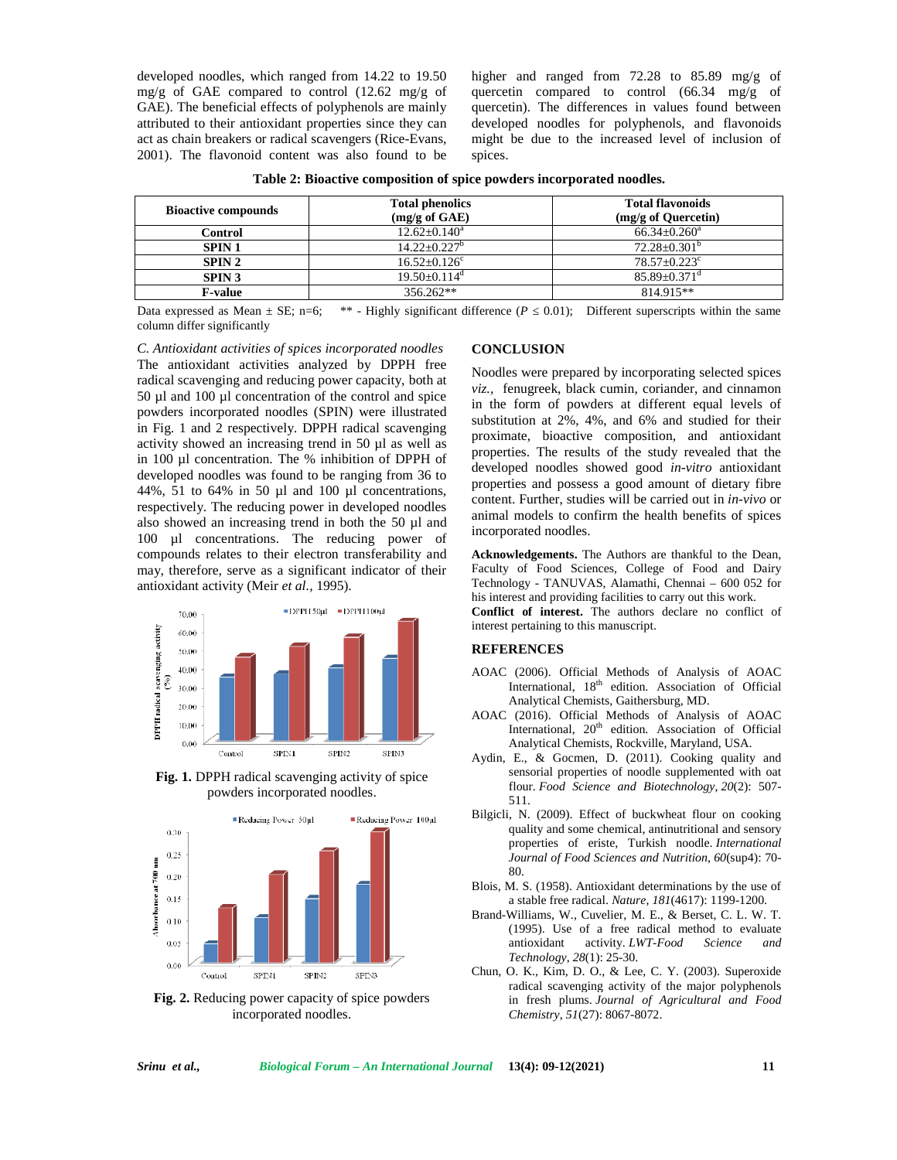developed noodles, which ranged from 14.22 to 19.50 mg/g of GAE compared to control (12.62 mg/g of GAE). The beneficial effects of polyphenols are mainly attributed to their antioxidant properties since they can act as chain breakers or radical scavengers (Rice-Evans, 2001). The flavonoid content was also found to be higher and ranged from 72.28 to 85.89 mg/g of quercetin compared to control (66.34 mg/g of quercetin). The differences in values found between developed noodles for polyphenols, and flavonoids might be due to the increased level of inclusion of spices.

| <b>Bioactive compounds</b> | <b>Total phenolics</b><br>$(mg/g \text{ of } GAE)$ | <b>Total flavonoids</b><br>(mg/g of Quercetin) |  |  |
|----------------------------|----------------------------------------------------|------------------------------------------------|--|--|
| Control                    | $12.62+0.140^a$                                    | $66.34 + 0.260$ <sup>a</sup>                   |  |  |
| <b>SPIN 1</b>              | $14.22 + 0.227^b$                                  | $72.28 \pm 0.301^{\mathrm{b}}$                 |  |  |
| SPIN <sub>2</sub>          | $16.52 + 0.126^c$                                  | $78.57 + 0.223$ °                              |  |  |
| <b>SPIN 3</b>              | $19.50 + 0.114^d$                                  | $85.89 + 0.371$ <sup>d</sup>                   |  |  |
| <b>F-value</b>             | $356.262**$                                        | 814.915**                                      |  |  |

| Table 2: Bioactive composition of spice powders incorporated noodles. |  |  |
|-----------------------------------------------------------------------|--|--|
|                                                                       |  |  |

Data expressed as Mean  $\pm$  SE; n=6; \*\* - Highly significant difference (*P* = 0.01); Different superscripts within the same column differ significantly

*C. Antioxidant activities of spices incorporated noodles* The antioxidant activities analyzed by DPPH free radical scavenging and reducing power capacity, both at 50 µl and 100 µl concentration of the control and spice powders incorporated noodles (SPIN) were illustrated in Fig. 1 and 2 respectively. DPPH radical scavenging activity showed an increasing trend in 50 µl as well as in 100 µl concentration. The % inhibition of DPPH of developed noodles was found to be ranging from 36 to 44%, 51 to 64% in 50 µl and 100 µl concentrations, respectively. The reducing power in developed noodles also showed an increasing trend in both the 50 µl and 100 µl concentrations. The reducing power of compounds relates to their electron transferability and may, therefore, serve as a significant indicator of their antioxidant activity (Meir *et al.,* 1995).



**Fig. 1.** DPPH radical scavenging activity of spice powders incorporated noodles.



**Fig. 2.** Reducing power capacity of spice powders incorporated noodles.

### **CONCLUSION**

Noodles were prepared by incorporating selected spices *viz.,* fenugreek, black cumin, coriander, and cinnamon in the form of powders at different equal levels of substitution at 2%, 4%, and 6% and studied for their proximate, bioactive composition, and antioxidant properties. The results of the study revealed that the developed noodles showed good *in-vitro* antioxidant properties and possess a good amount of dietary fibre content. Further, studies will be carried out in *in-vivo* or animal models to confirm the health benefits of spices incorporated noodles.

**Acknowledgements.** The Authors are thankful to the Dean, Faculty of Food Sciences, College of Food and Dairy Technology - TANUVAS, Alamathi, Chennai – 600 052 for his interest and providing facilities to carry out this work.

**Conflict of interest.** The authors declare no conflict of interest pertaining to this manuscript.

#### **REFERENCES**

- AOAC (2006). Official Methods of Analysis of AOAC International,  $18<sup>th</sup>$  edition. Association of Official Analytical Chemists, Gaithersburg, MD.
- AOAC (2016). Official Methods of Analysis of AOAC International, 20<sup>th</sup> edition. Association of Official Analytical Chemists, Rockville, Maryland, USA.
- Aydin, E., & Gocmen, D. (2011). Cooking quality and sensorial properties of noodle supplemented with oat flour. *Food Science and Biotechnology*, *20*(2): 507- 511.
- Bilgicli, N. (2009). Effect of buckwheat flour on cooking quality and some chemical, antinutritional and sensory properties of eriste, Turkish noodle. *International Journal of Food Sciences and Nutrition*, *60*(sup4): 70- 80.
- Blois, M. S. (1958). Antioxidant determinations by the use of a stable free radical. *Nature*, *181*(4617): 1199-1200.
- Brand-Williams, W., Cuvelier, M. E., & Berset, C. L. W. T. (1995). Use of a free radical method to evaluate antioxidant activity. *LWT-Food Science and Technology*, *28*(1): 25-30.
- Chun, O. K., Kim, D. O., & Lee, C. Y. (2003). Superoxide radical scavenging activity of the major polyphenols in fresh plums. *Journal of Agricultural and Food Chemistry*, *51*(27): 8067-8072.